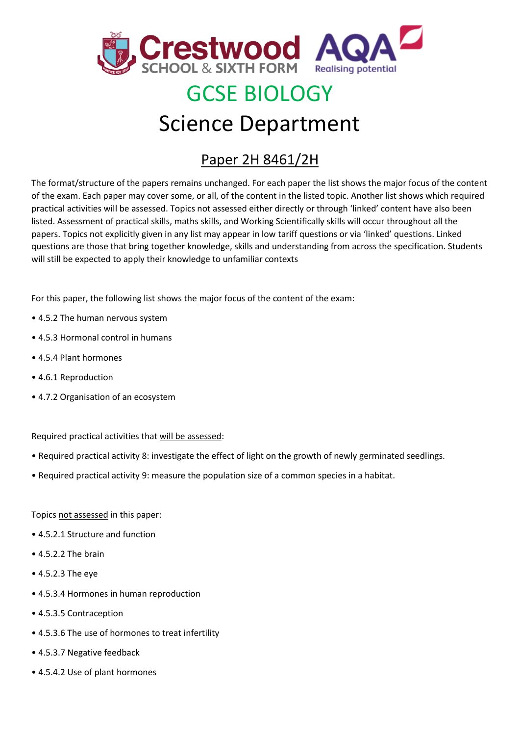

## GCSE BIOLOGY

## Science Department

## Paper 2H 8461/2H

The format/structure of the papers remains unchanged. For each paper the list shows the major focus of the content of the exam. Each paper may cover some, or all, of the content in the listed topic. Another list shows which required practical activities will be assessed. Topics not assessed either directly or through 'linked' content have also been listed. Assessment of practical skills, maths skills, and Working Scientifically skills will occur throughout all the papers. Topics not explicitly given in any list may appear in low tariff questions or via 'linked' questions. Linked questions are those that bring together knowledge, skills and understanding from across the specification. Students will still be expected to apply their knowledge to unfamiliar contexts

For this paper, the following list shows the major focus of the content of the exam:

- 4.5.2 The human nervous system
- 4.5.3 Hormonal control in humans
- 4.5.4 Plant hormones
- 4.6.1 Reproduction
- 4.7.2 Organisation of an ecosystem

Required practical activities that will be assessed:

- Required practical activity 8: investigate the effect of light on the growth of newly germinated seedlings.
- Required practical activity 9: measure the population size of a common species in a habitat.

Topics not assessed in this paper:

- 4.5.2.1 Structure and function
- 4.5.2.2 The brain
- 4.5.2.3 The eye
- 4.5.3.4 Hormones in human reproduction
- 4.5.3.5 Contraception
- 4.5.3.6 The use of hormones to treat infertility
- 4.5.3.7 Negative feedback
- 4.5.4.2 Use of plant hormones